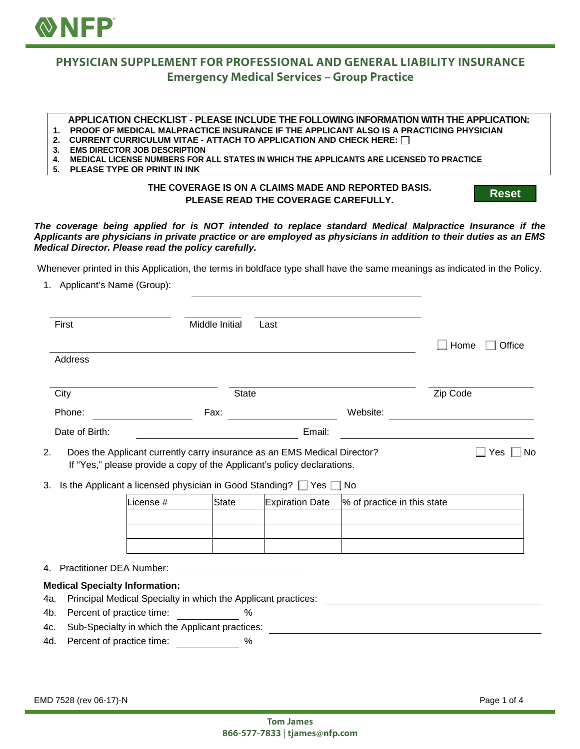

# PHYSICIAN SUPPLEMENT FOR PROFESSIONAL AND GENERAL LIABILITY INSURANCE **Emergency Medical Services - Group Practice**

#### **APPLICATION CHECKLIST - PLEASE INCLUDE THE FOLLOWING INFORMATION WITH THE APPLICATION:**

**1. PROOF OF MEDICAL MALPRACTICE INSURANCE IF THE APPLICANT ALSO IS A PRACTICING PHYSICIAN**

- **2. CURRENT CURRICULUM VITAE ATTACH TO APPLICATION AND CHECK HERE:**
- **3. EMS DIRECTOR JOB DESCRIPTION**
- **4. MEDICAL LICENSE NUMBERS FOR ALL STATES IN WHICH THE APPLICANTS ARE LICENSED TO PRACTICE**
- **5. PLEASE TYPE OR PRINT IN INK**

### **THE COVERAGE IS ON A CLAIMS MADE AND REPORTED BASIS. PLEASE READ THE COVERAGE CAREFULLY.**

**Reset**

#### *The coverage being applied for is NOT intended to replace standard Medical Malpractice Insurance if the Applicants are physicians in private practice or are employed as physicians in addition to their duties as an EMS Medical Director. Please read the policy carefully.*

Whenever printed in this Application, the terms in boldface type shall have the same meanings as indicated in the Policy.

1. Applicant's Name (Group):

| First                                                                                                                                        |              | Middle Initial | Last                                                                                                                                                |                             |                |
|----------------------------------------------------------------------------------------------------------------------------------------------|--------------|----------------|-----------------------------------------------------------------------------------------------------------------------------------------------------|-----------------------------|----------------|
|                                                                                                                                              |              |                |                                                                                                                                                     |                             | Home<br>Office |
| Address                                                                                                                                      |              |                |                                                                                                                                                     |                             |                |
| City                                                                                                                                         | <b>State</b> |                |                                                                                                                                                     |                             | Zip Code       |
| Phone:                                                                                                                                       |              | Fax:           |                                                                                                                                                     | Website:                    |                |
| Date of Birth:                                                                                                                               |              |                | Email:                                                                                                                                              |                             |                |
| 2.                                                                                                                                           |              |                | Does the Applicant currently carry insurance as an EMS Medical Director?<br>If "Yes," please provide a copy of the Applicant's policy declarations. |                             | No.<br>Yes     |
| 3. Is the Applicant a licensed physician in Good Standing? Ves                                                                               |              |                |                                                                                                                                                     | l No                        |                |
|                                                                                                                                              | License #    | State          | <b>Expiration Date</b>                                                                                                                              | % of practice in this state |                |
|                                                                                                                                              |              |                |                                                                                                                                                     |                             |                |
|                                                                                                                                              |              |                |                                                                                                                                                     |                             |                |
|                                                                                                                                              |              |                |                                                                                                                                                     |                             |                |
|                                                                                                                                              |              |                | <u> 1980 - Jan Stein Stein Stein Stein Stein Stein Stein Stein Stein Stein Stein Stein Stein Stein Stein Stein S</u>                                |                             |                |
|                                                                                                                                              |              |                |                                                                                                                                                     |                             |                |
| Principal Medical Specialty in which the Applicant practices:                                                                                |              |                |                                                                                                                                                     |                             |                |
| Percent of practice time:                                                                                                                    |              | $\%$           |                                                                                                                                                     |                             |                |
| 4. Practitioner DEA Number:<br><b>Medical Specialty Information:</b><br>4a.<br>4b.<br>Sub-Specialty in which the Applicant practices:<br>4c. |              |                |                                                                                                                                                     |                             |                |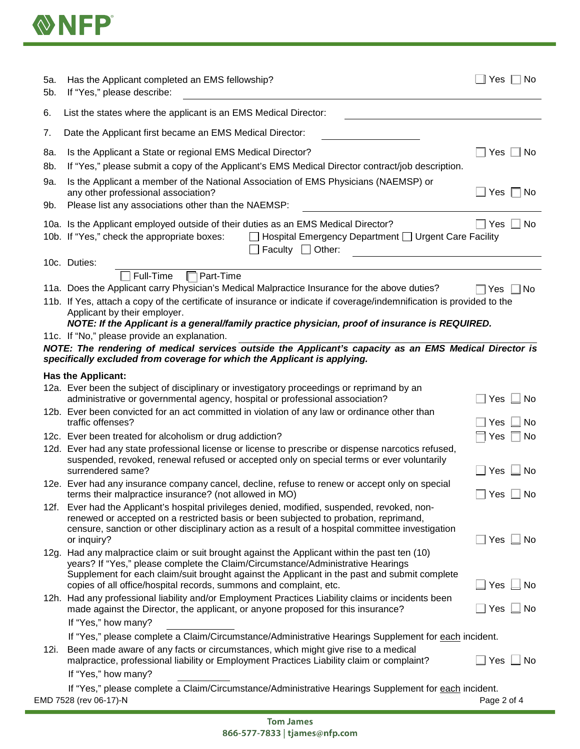

| 5а.<br>5b. | Has the Applicant completed an EMS fellowship?<br>If "Yes," please describe:                                                                                                                                                                                                             | Yes  <br>No             |
|------------|------------------------------------------------------------------------------------------------------------------------------------------------------------------------------------------------------------------------------------------------------------------------------------------|-------------------------|
| 6.         | List the states where the applicant is an EMS Medical Director:                                                                                                                                                                                                                          |                         |
| 7.         | Date the Applicant first became an EMS Medical Director:                                                                                                                                                                                                                                 |                         |
| 8a.<br>8b. | Is the Applicant a State or regional EMS Medical Director?<br>If "Yes," please submit a copy of the Applicant's EMS Medical Director contract/job description.                                                                                                                           | No<br>Yes               |
| 9a.<br>9b. | Is the Applicant a member of the National Association of EMS Physicians (NAEMSP) or<br>any other professional association?<br>Please list any associations other than the NAEMSP:                                                                                                        | Yes $\Box$ No           |
|            | 10a. Is the Applicant employed outside of their duties as an EMS Medical Director?<br>10b. If "Yes," check the appropriate boxes:<br>$\Box$ Hospital Emergency Department $\Box$ Urgent Care Facility<br>Faculty $\Box$ Other:                                                           | Yes<br>No               |
|            | 10c. Duties:                                                                                                                                                                                                                                                                             |                         |
|            | Full-Time<br>Part-Time<br>11a. Does the Applicant carry Physician's Medical Malpractice Insurance for the above duties?                                                                                                                                                                  |                         |
|            | 11b. If Yes, attach a copy of the certificate of insurance or indicate if coverage/indemnification is provided to the<br>Applicant by their employer.<br>NOTE: If the Applicant is a general/family practice physician, proof of insurance is REQUIRED.                                  | No<br>Yes               |
|            | 11c. If "No," please provide an explanation.                                                                                                                                                                                                                                             |                         |
|            | NOTE: The rendering of medical services outside the Applicant's capacity as an EMS Medical Director is<br>specifically excluded from coverage for which the Applicant is applying.                                                                                                       |                         |
|            | <b>Has the Applicant:</b>                                                                                                                                                                                                                                                                |                         |
|            | 12a. Ever been the subject of disciplinary or investigatory proceedings or reprimand by an<br>administrative or governmental agency, hospital or professional association?                                                                                                               | Yes<br>$\sqcup$ No      |
|            | 12b. Ever been convicted for an act committed in violation of any law or ordinance other than<br>traffic offenses?                                                                                                                                                                       | Yes<br>No               |
|            | 12c. Ever been treated for alcoholism or drug addiction?                                                                                                                                                                                                                                 | Yes<br>⊺ No             |
|            | 12d. Ever had any state professional license or license to prescribe or dispense narcotics refused,<br>suspended, revoked, renewal refused or accepted only on special terms or ever voluntarily<br>surrendered same?                                                                    | $\Box$ Yes $\Box$ No    |
|            | 12e. Ever had any insurance company cancel, decline, refuse to renew or accept only on special<br>terms their malpractice insurance? (not allowed in MO)                                                                                                                                 | $\Box$ Yes $\Box$ No    |
|            | 12f. Ever had the Applicant's hospital privileges denied, modified, suspended, revoked, non-<br>renewed or accepted on a restricted basis or been subjected to probation, reprimand,<br>censure, sanction or other disciplinary action as a result of a hospital committee investigation |                         |
|            | or inquiry?<br>12g. Had any malpractice claim or suit brought against the Applicant within the past ten (10)                                                                                                                                                                             | Yes $\Box$ No           |
|            | years? If "Yes," please complete the Claim/Circumstance/Administrative Hearings<br>Supplement for each claim/suit brought against the Applicant in the past and submit complete<br>copies of all office/hospital records, summons and complaint, etc.                                    | Yes $\Box$ No           |
|            | 12h. Had any professional liability and/or Employment Practices Liability claims or incidents been<br>made against the Director, the applicant, or anyone proposed for this insurance?                                                                                                   | $\Box$ No<br>Yes        |
|            | If "Yes," how many?                                                                                                                                                                                                                                                                      |                         |
| 12i.       | If "Yes," please complete a Claim/Circumstance/Administrative Hearings Supplement for each incident.<br>Been made aware of any facts or circumstances, which might give rise to a medical                                                                                                |                         |
|            | malpractice, professional liability or Employment Practices Liability claim or complaint?<br>If "Yes," how many?                                                                                                                                                                         | $\Box$ Yes<br>$\Box$ No |
|            | If "Yes," please complete a Claim/Circumstance/Administrative Hearings Supplement for each incident.                                                                                                                                                                                     |                         |
|            | EMD 7528 (rev 06-17)-N                                                                                                                                                                                                                                                                   | Page 2 of 4             |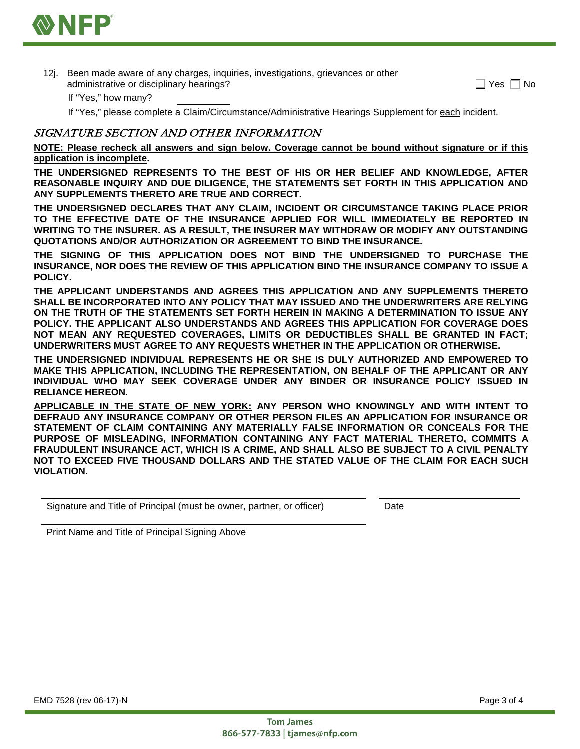

12j. Been made aware of any charges, inquiries, investigations, grievances or other administrative or disciplinary hearings?

| Yes. | No |
|------|----|
|------|----|

If "Yes," how many?

If "Yes," please complete a Claim/Circumstance/Administrative Hearings Supplement for each incident.

## SIGNATURE SECTION AND OTHER INFORMATION

**NOTE: Please recheck all answers and sign below. Coverage cannot be bound without signature or if this application is incomplete.** 

**THE UNDERSIGNED REPRESENTS TO THE BEST OF HIS OR HER BELIEF AND KNOWLEDGE, AFTER REASONABLE INQUIRY AND DUE DILIGENCE, THE STATEMENTS SET FORTH IN THIS APPLICATION AND ANY SUPPLEMENTS THERETO ARE TRUE AND CORRECT.**

**THE UNDERSIGNED DECLARES THAT ANY CLAIM, INCIDENT OR CIRCUMSTANCE TAKING PLACE PRIOR TO THE EFFECTIVE DATE OF THE INSURANCE APPLIED FOR WILL IMMEDIATELY BE REPORTED IN WRITING TO THE INSURER. AS A RESULT, THE INSURER MAY WITHDRAW OR MODIFY ANY OUTSTANDING QUOTATIONS AND/OR AUTHORIZATION OR AGREEMENT TO BIND THE INSURANCE.**

**THE SIGNING OF THIS APPLICATION DOES NOT BIND THE UNDERSIGNED TO PURCHASE THE INSURANCE, NOR DOES THE REVIEW OF THIS APPLICATION BIND THE INSURANCE COMPANY TO ISSUE A POLICY.**

**THE APPLICANT UNDERSTANDS AND AGREES THIS APPLICATION AND ANY SUPPLEMENTS THERETO SHALL BE INCORPORATED INTO ANY POLICY THAT MAY ISSUED AND THE UNDERWRITERS ARE RELYING ON THE TRUTH OF THE STATEMENTS SET FORTH HEREIN IN MAKING A DETERMINATION TO ISSUE ANY POLICY. THE APPLICANT ALSO UNDERSTANDS AND AGREES THIS APPLICATION FOR COVERAGE DOES NOT MEAN ANY REQUESTED COVERAGES, LIMITS OR DEDUCTIBLES SHALL BE GRANTED IN FACT; UNDERWRITERS MUST AGREE TO ANY REQUESTS WHETHER IN THE APPLICATION OR OTHERWISE.**

**THE UNDERSIGNED INDIVIDUAL REPRESENTS HE OR SHE IS DULY AUTHORIZED AND EMPOWERED TO MAKE THIS APPLICATION, INCLUDING THE REPRESENTATION, ON BEHALF OF THE APPLICANT OR ANY INDIVIDUAL WHO MAY SEEK COVERAGE UNDER ANY BINDER OR INSURANCE POLICY ISSUED IN RELIANCE HEREON.**

**APPLICABLE IN THE STATE OF NEW YORK: ANY PERSON WHO KNOWINGLY AND WITH INTENT TO DEFRAUD ANY INSURANCE COMPANY OR OTHER PERSON FILES AN APPLICATION FOR INSURANCE OR STATEMENT OF CLAIM CONTAINING ANY MATERIALLY FALSE INFORMATION OR CONCEALS FOR THE PURPOSE OF MISLEADING, INFORMATION CONTAINING ANY FACT MATERIAL THERETO, COMMITS A FRAUDULENT INSURANCE ACT, WHICH IS A CRIME, AND SHALL ALSO BE SUBJECT TO A CIVIL PENALTY NOT TO EXCEED FIVE THOUSAND DOLLARS AND THE STATED VALUE OF THE CLAIM FOR EACH SUCH VIOLATION.**

Signature and Title of Principal (must be owner, partner, or officer) Date

Print Name and Title of Principal Signing Above